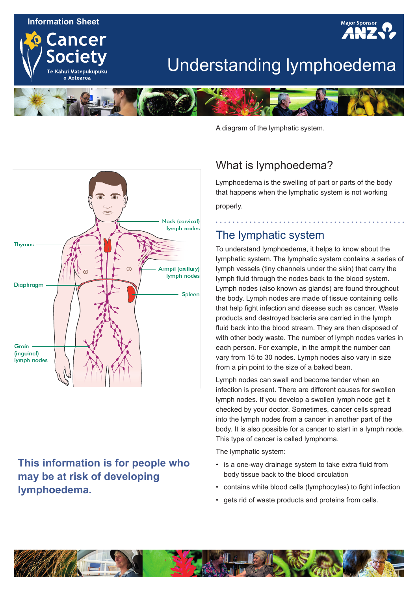#### **Information Sheet**

ancer

Te Kāhui Matepukupuku o Aotearoa



# Understanding lymphoedema



**Neck (cervical)** lymph nodes **Thymus** Armpit (axillary) lymph nodes **Diaphragm** Spleen Groin (inguinal) lymph nodes

### **This information is for people who may be at risk of developing lymphoedema.**

A diagram of the lymphatic system.

### What is lymphoedema?

Lymphoedema is the swelling of part or parts of the body that happens when the lymphatic system is not working properly.

### The lymphatic system

To understand lymphoedema, it helps to know about the lymphatic system. The lymphatic system contains a series of lymph vessels (tiny channels under the skin) that carry the lymph fluid through the nodes back to the blood system. Lymph nodes (also known as glands) are found throughout the body. Lymph nodes are made of tissue containing cells that help fight infection and disease such as cancer. Waste products and destroyed bacteria are carried in the lymph fluid back into the blood stream. They are then disposed of with other body waste. The number of lymph nodes varies in each person. For example, in the armpit the number can vary from 15 to 30 nodes. Lymph nodes also vary in size from a pin point to the size of a baked bean.

Lymph nodes can swell and become tender when an infection is present. There are different causes for swollen lymph nodes. If you develop a swollen lymph node get it checked by your doctor. Sometimes, cancer cells spread into the lymph nodes from a cancer in another part of the body. It is also possible for a cancer to start in a lymph node. This type of cancer is called lymphoma.

The lymphatic system:

- is a one-way drainage system to take extra fluid from body tissue back to the blood circulation
- contains white blood cells (lymphocytes) to fight infection
- gets rid of waste products and proteins from cells.